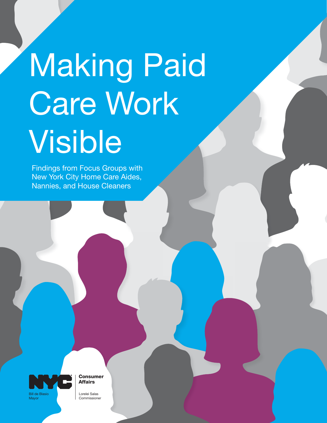# Making Paid Care Work Visible

Findings from Focus Groups with New York City Home Care Aides, Nannies, and House Cleaners



Consumer Affairs

Lorelei Salas Commissioner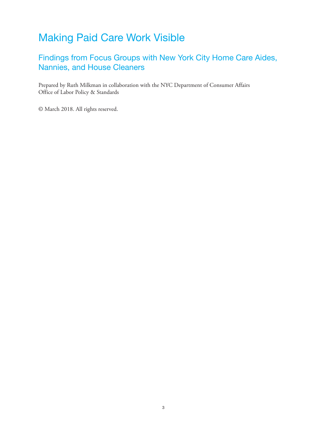## Making Paid Care Work Visible

#### Findings from Focus Groups with New York City Home Care Aides, Nannies, and House Cleaners

Prepared by Ruth Milkman in collaboration with the NYC Department of Consumer Affairs Office of Labor Policy & Standards

© March 2018. All rights reserved.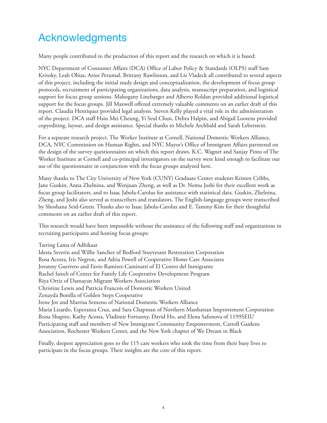## Acknowledgments

Many people contributed to the production of this report and the research on which it is based:

NYC Department of Consumer Affairs (DCA) Office of Labor Policy & Standards (OLPS) staff Sam Krinsky, Leah Obias, Artee Perumal, Brittany Rawlinson, and Liz Vladeck all contributed to several aspects of this project, including the initial study design and conceptualization, the development of focus group protocols, recruitment of participating organizations, data analysis, manuscript preparation, and logistical support for focus group sessions. Mahogany Linebarger and Alberto Roldan provided additional logistical support for the focus groups. Jill Maxwell offered extremely valuable comments on an earlier draft of this report. Claudia Henriquez provided legal analysis. Steven Kelly played a vital role in the administration of the project. DCA staff Hsiu Mei Cheung, Yi Seul Chun, Debra Halpin, and Abigail Lootens provided copyediting, layout, and design assistance. Special thanks to Michele Archbald and Sarah Leberstein.

For a separate research project, The Worker Institute at Cornell, National Domestic Workers Alliance, DCA, NYC Commission on Human Rights, and NYC Mayor's Office of Immigrant Affairs partnered on the design of the survey questionnaires on which this report draws. K.C. Wagner and Sanjay Pinto of The Worker Institute at Cornell and co-principal investigators on the survey were kind enough to facilitate our use of the questionnaire in conjunction with the focus groups analyzed here.

Many thanks to The City University of New York (CUNY) Graduate Center students Kristen Cribbs, Jane Guskin, Anna Zhelnina, and Wenjuan Zheng, as well as Dr. Nemu Joshi for their excellent work as focus group facilitators, and to Isaac Jabola-Carolus for assistance with statistical data. Guskin, Zhelnina, Zheng, and Joshi also served as transcribers and translators. The English-language groups were transcribed by Shoshana Seid-Green. Thanks also to Isaac Jabola-Carolus and E. Tammy Kim for their thoughtful comments on an earlier draft of this report.

This research would have been impossible without the assistance of the following staff and organizations in recruiting participants and hosting focus groups:

Tsering Lama of Adhikaar

Idesta Severin and Willie Sanchez of Bedford Stuyvesant Restoration Corporation Rosa Acosta, Iris Negron, and Adria Powell of Cooperative Home Care Associates Jovanny Guerrero and Favio Ramirez-Caminatti of El Centro del Inmigrante Rachel Isreeli of Center for Family Life Cooperative Development Program Riya Ortiz of Damayan Migrant Workers Association Christine Lewis and Patricia Francois of Domestic Workers United Zenayda Bonilla of Golden Steps Cooperative Irene Jor and Marrisa Senteno of National Domestic Workers Alliance Maria Lizardo, Esperanza Cruz, and Sara Chapman of Northern Manhattan Improvement Corporation Rona Shapiro, Kathy Acosta, Vladimir Fortunny, David Ho, and Elena Safonova of 1199SEIU Participating staff and members of New Immigrant Community Empowerment, Carroll Gardens Association, Rochester Workers Center, and the New York chapter of We Dream in Black

Finally, deepest appreciation goes to the 115 care workers who took the time from their busy lives to participate in the focus groups. Their insights are the core of this report.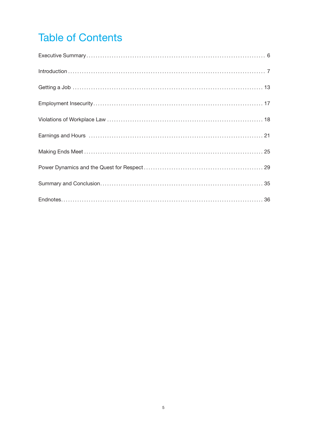## **Table of Contents**

| $Introduction \dots 7$ |
|------------------------|
|                        |
|                        |
|                        |
|                        |
|                        |
|                        |
|                        |
|                        |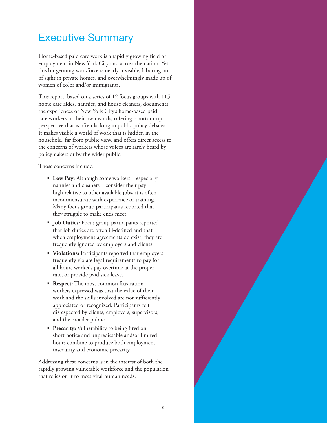### Executive Summary

Home-based paid care work is a rapidly growing field of employment in New York City and across the nation. Yet this burgeoning workforce is nearly invisible, laboring out of sight in private homes, and overwhelmingly made up of women of color and/or immigrants.

This report, based on a series of 12 focus groups with 115 home care aides, nannies, and house cleaners, documents the experiences of New York City's home-based paid care workers in their own words, offering a bottom-up perspective that is often lacking in public policy debates. It makes visible a world of work that is hidden in the household, far from public view, and offers direct access to the concerns of workers whose voices are rarely heard by policymakers or by the wider public.

Those concerns include:

- **Low Pay:** Although some workers—especially nannies and cleaners—consider their pay high relative to other available jobs, it is often incommensurate with experience or training. Many focus group participants reported that they struggle to make ends meet.
- **Job Duties:** Focus group participants reported that job duties are often ill-defined and that when employment agreements do exist, they are frequently ignored by employers and clients.
- **Violations:** Participants reported that employers frequently violate legal requirements to pay for all hours worked, pay overtime at the proper rate, or provide paid sick leave.
- **Respect:** The most common frustration workers expressed was that the value of their work and the skills involved are not sufficiently appreciated or recognized. Participants felt disrespected by clients, employers, supervisors, and the broader public.
- **Precarity:** Vulnerability to being fired on short notice and unpredictable and/or limited hours combine to produce both employment insecurity and economic precarity.

Addressing these concerns is in the interest of both the rapidly growing vulnerable workforce and the population that relies on it to meet vital human needs.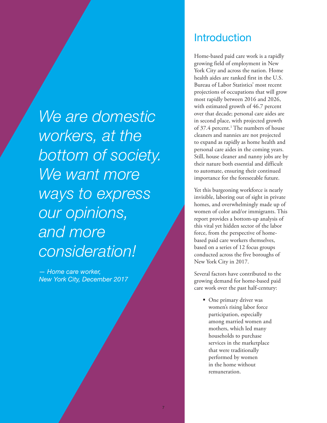*We are domestic workers, at the bottom of society.*  We want more *ways to express our opinions, and more consideration!*

*— Home care worker, New York City, December 2017*

#### **Introduction**

Home-based paid care work is a rapidly growing field of employment in New York City and across the nation. Home health aides are ranked first in the U.S. Bureau of Labor Statistics' most recent projections of occupations that will grow most rapidly between 2016 and 2026, with estimated growth of 46.7 percent over that decade; personal care aides are in second place, with projected growth of 37.4 percent.<sup>1</sup> The numbers of house cleaners and nannies are not projected to expand as rapidly as home health and personal care aides in the coming years. Still, house cleaner and nanny jobs are by their nature both essential and difficult to automate, ensuring their continued importance for the foreseeable future.

Yet this burgeoning workforce is nearly invisible, laboring out of sight in private homes, and overwhelmingly made up of women of color and/or immigrants. This report provides a bottom-up analysis of this vital yet hidden sector of the labor force, from the perspective of homebased paid care workers themselves, based on a series of 12 focus groups conducted across the five boroughs of New York City in 2017.

Several factors have contributed to the growing demand for home-based paid care work over the past half-century:

• One primary driver was women's rising labor force participation, especially among married women and mothers, which led many households to purchase services in the marketplace that were traditionally performed by women in the home without remuneration.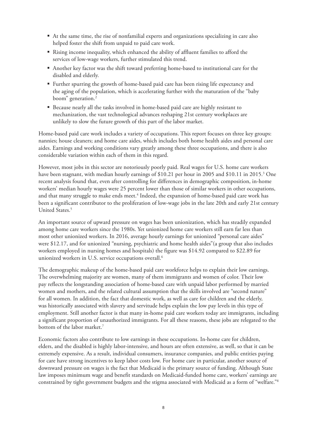- At the same time, the rise of nonfamilial experts and organizations specializing in care also helped foster the shift from unpaid to paid care work.
- Rising income inequality, which enhanced the ability of affluent families to afford the services of low-wage workers, further stimulated this trend.
- Another key factor was the shift toward preferring home-based to institutional care for the disabled and elderly.
- Further spurring the growth of home-based paid care has been rising life expectancy and the aging of the population, which is accelerating further with the maturation of the "baby boom" generation.<sup>2</sup>
- Because nearly all the tasks involved in home-based paid care are highly resistant to mechanization, the vast technological advances reshaping 21st century workplaces are unlikely to slow the future growth of this part of the labor market.

Home-based paid care work includes a variety of occupations. This report focuses on three key groups: nannies; house cleaners; and home care aides, which includes both home health aides and personal care aides. Earnings and working conditions vary greatly among these three occupations, and there is also considerable variation within each of them in this regard.

However, most jobs in this sector are notoriously poorly paid. Real wages for U.S. home care workers have been stagnant, with median hourly earnings of \$10.21 per hour in 2005 and \$10.11 in 2015.3 One recent analysis found that, even after controlling for differences in demographic composition, in-home workers' median hourly wages were 25 percent lower than those of similar workers in other occupations, and that many struggle to make ends meet.<sup>4</sup> Indeed, the expansion of home-based paid care work has been a significant contributor to the proliferation of low-wage jobs in the late 20th and early 21st century United States.<sup>5</sup>

An important source of upward pressure on wages has been unionization, which has steadily expanded among home care workers since the 1980s. Yet unionized home care workers still earn far less than most other unionized workers. In 2016, average hourly earnings for unionized "personal care aides" were \$12.17, and for unionized "nursing, psychiatric and home health aides"(a group that also includes workers employed in nursing homes and hospitals) the figure was \$14.92 compared to \$22.89 for unionized workers in U.S. service occupations overall.<sup>6</sup>

The demographic makeup of the home-based paid care workforce helps to explain their low earnings. The overwhelming majority are women, many of them immigrants and women of color. Their low pay reflects the longstanding association of home-based care with unpaid labor performed by married women and mothers, and the related cultural assumption that the skills involved are "second nature" for all women. In addition, the fact that domestic work, as well as care for children and the elderly, was historically associated with slavery and servitude helps explain the low pay levels in this type of employment. Still another factor is that many in-home paid care workers today are immigrants, including a significant proportion of unauthorized immigrants. For all these reasons, these jobs are relegated to the bottom of the labor market.<sup>7</sup>

Economic factors also contribute to low earnings in these occupations. In-home care for children, elders, and the disabled is highly labor-intensive, and hours are often extensive, as well, so that it can be extremely expensive. As a result, individual consumers, insurance companies, and public entities paying for care have strong incentives to keep labor costs low. For home care in particular, another source of downward pressure on wages is the fact that Medicaid is the primary source of funding. Although State law imposes minimum wage and benefit standards on Medicaid-funded home care, workers' earnings are constrained by tight government budgets and the stigma associated with Medicaid as a form of "welfare."8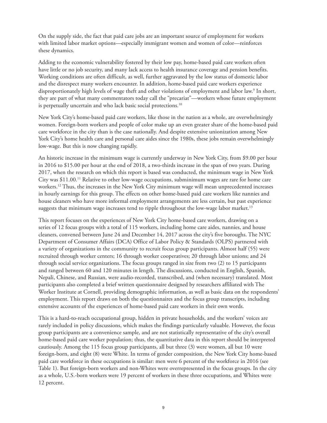On the supply side, the fact that paid care jobs are an important source of employment for workers with limited labor market options—especially immigrant women and women of color—reinforces these dynamics.

Adding to the economic vulnerability fostered by their low pay, home-based paid care workers often have little or no job security, and many lack access to health insurance coverage and pension benefits. Working conditions are often difficult, as well, further aggravated by the low status of domestic labor and the disrespect many workers encounter. In addition, home-based paid care workers experience disproportionately high levels of wage theft and other violations of employment and labor law.9 In short, they are part of what many commentators today call the "precariat"—workers whose future employment is perpetually uncertain and who lack basic social protections.<sup>10</sup>

New York City's home-based paid care workers, like those in the nation as a whole, are overwhelmingly women. Foreign-born workers and people of color make up an even greater share of the home-based paid care workforce in the city than is the case nationally. And despite extensive unionization among New York City's home health care and personal care aides since the 1980s, these jobs remain overwhelmingly low-wage. But this is now changing rapidly.

An historic increase in the minimum wage is currently underway in New York City, from \$9.00 per hour in 2016 to \$15.00 per hour at the end of 2018, a two-thirds increase in the span of two years. During 2017, when the research on which this report is based was conducted, the minimum wage in New York City was \$11.00.11 Relative to other low-wage occupations, subminimum wages are rare for home care workers.12 Thus, the increases in the New York City minimum wage will mean unprecedented increases in hourly earnings for this group. The effects on other home-based paid care workers like nannies and house cleaners who have more informal employment arrangements are less certain, but past experience suggests that minimum wage increases tend to ripple throughout the low-wage labor market.<sup>13</sup>

This report focuses on the experiences of New York City home-based care workers, drawing on a series of 12 focus groups with a total of 115 workers, including home care aides, nannies, and house cleaners, convened between June 24 and December 14, 2017 across the city's five boroughs. The NYC Department of Consumer Affairs (DCA) Office of Labor Policy & Standards (OLPS) partnered with a variety of organizations in the community to recruit focus group participants. Almost half (55) were recruited through worker centers; 16 through worker cooperatives; 20 through labor unions; and 24 through social service organizations. The focus groups ranged in size from two (2) to 15 participants and ranged between 60 and 120 minutes in length. The discussions, conducted in English, Spanish, Nepali, Chinese, and Russian, were audio-recorded, transcribed, and (when necessary) translated. Most participants also completed a brief written questionnaire designed by researchers affiliated with The Worker Institute at Cornell, providing demographic information, as well as basic data on the respondents' employment. This report draws on both the questionnaires and the focus group transcripts, including extensive accounts of the experiences of home-based paid care workers in their own words.

This is a hard-to-reach occupational group, hidden in private households, and the workers' voices are rarely included in policy discussions, which makes the findings particularly valuable. However, the focus group participants are a convenience sample, and are not statistically representative of the city's overall home-based paid care worker population; thus, the quantitative data in this report should be interpreted cautiously. Among the 115 focus group participants, all but three (3) were women, all but 10 were foreign-born, and eight (8) were White. In terms of gender composition, the New York City home-based paid care workforce in these occupations is similar: men were 6 percent of the workforce in 2016 (see Table 1). But foreign-born workers and non-Whites were overrepresented in the focus groups. In the city as a whole, U.S.-born workers were 19 percent of workers in these three occupations, and Whites were 12 percent.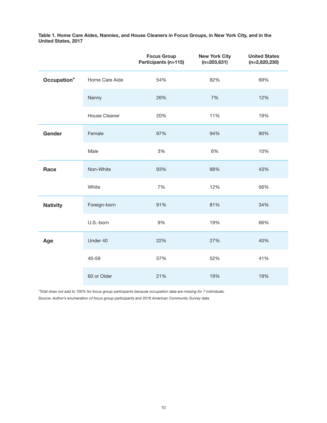Table 1. Home Care Aides, Nannies, and House Cleaners in Focus Groups, in New York City, and in the United States, 2017

|                 |                | <b>Focus Group</b><br>Participants (n=115) | <b>New York City</b><br>$(n=203,631)$ | <b>United States</b><br>$(n=2,820,230)$ |
|-----------------|----------------|--------------------------------------------|---------------------------------------|-----------------------------------------|
| Occupation*     | Home Care Aide | 54%                                        | 82%                                   | 69%                                     |
|                 | Nanny          | 26%                                        | 7%                                    | 12%                                     |
|                 | House Cleaner  | 20%                                        | 11%                                   | 19%                                     |
| Gender          | Female         | 97%                                        | 94%                                   | 90%                                     |
|                 | Male           | 3%                                         | 6%                                    | 10%                                     |
| Race            | Non-White      | 93%                                        | 88%                                   | 43%                                     |
|                 | White          | 7%                                         | 12%                                   | 56%                                     |
| <b>Nativity</b> | Foreign-born   | 91%                                        | 81%                                   | 34%                                     |
|                 | U.S.-born      | 9%                                         | 19%                                   | 66%                                     |
| Age             | Under 40       | 22%                                        | 27%                                   | 40%                                     |
|                 | 40-59          | 57%                                        | 52%                                   | 41%                                     |
|                 | 60 or Older    | 21%                                        | 19%                                   | 19%                                     |

*\*Total does not add to 100% for focus group participants because occupation data are missing for 7 individuals. Source: Author's enumeration of focus group participants and 2016 American Community Survey data.*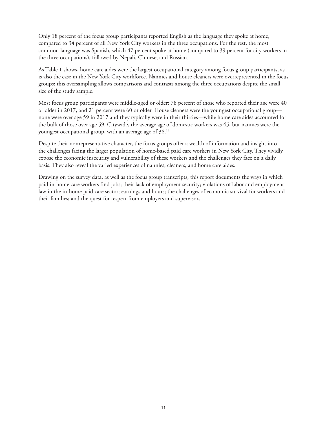Only 18 percent of the focus group participants reported English as the language they spoke at home, compared to 34 percent of all New York City workers in the three occupations. For the rest, the most common language was Spanish, which 47 percent spoke at home (compared to 39 percent for city workers in the three occupations), followed by Nepali, Chinese, and Russian.

As Table 1 shows, home care aides were the largest occupational category among focus group participants, as is also the case in the New York City workforce. Nannies and house cleaners were overrepresented in the focus groups; this oversampling allows comparisons and contrasts among the three occupations despite the small size of the study sample.

Most focus group participants were middle-aged or older: 78 percent of those who reported their age were 40 or older in 2017, and 21 percent were 60 or older. House cleaners were the youngest occupational group none were over age 59 in 2017 and they typically were in their thirties—while home care aides accounted for the bulk of those over age 59. Citywide, the average age of domestic workers was 45, but nannies were the youngest occupational group, with an average age of 38.14

Despite their nonrepresentative character, the focus groups offer a wealth of information and insight into the challenges facing the larger population of home-based paid care workers in New York City. They vividly expose the economic insecurity and vulnerability of these workers and the challenges they face on a daily basis. They also reveal the varied experiences of nannies, cleaners, and home care aides.

Drawing on the survey data, as well as the focus group transcripts, this report documents the ways in which paid in-home care workers find jobs; their lack of employment security; violations of labor and employment law in the in-home paid care sector; earnings and hours; the challenges of economic survival for workers and their families; and the quest for respect from employers and supervisors.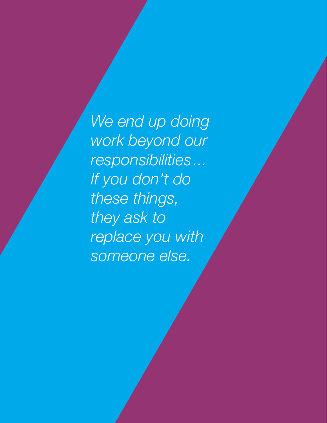*We end up doing work beyond our responsibilities... If you don't do these things, they ask to replace you with someone else.*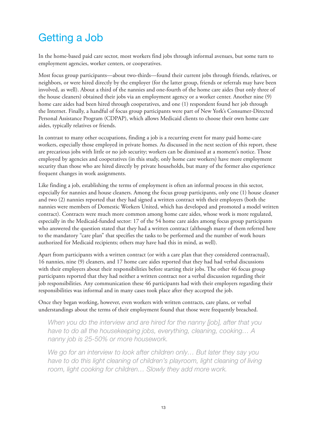## Getting a Job

In the home-based paid care sector, most workers find jobs through informal avenues, but some turn to employment agencies, worker centers, or cooperatives.

Most focus group participants—about two-thirds—found their current jobs through friends, relatives, or neighbors, or were hired directly by the employer (for the latter group, friends or referrals may have been involved, as well). About a third of the nannies and one-fourth of the home care aides (but only three of the house cleaners) obtained their jobs via an employment agency or a worker center. Another nine (9) home care aides had been hired through cooperatives, and one (1) respondent found her job through the Internet. Finally, a handful of focus group participants were part of New York's Consumer-Directed Personal Assistance Program (CDPAP), which allows Medicaid clients to choose their own home care aides, typically relatives or friends.

In contrast to many other occupations, finding a job is a recurring event for many paid home-care workers, especially those employed in private homes. As discussed in the next section of this report, these are precarious jobs with little or no job security; workers can be dismissed at a moment's notice. Those employed by agencies and cooperatives (in this study, only home care workers) have more employment security than those who are hired directly by private households, but many of the former also experience frequent changes in work assignments.

Like finding a job, establishing the terms of employment is often an informal process in this sector, especially for nannies and house cleaners. Among the focus group participants, only one (1) house cleaner and two (2) nannies reported that they had signed a written contract with their employers (both the nannies were members of Domestic Workers United, which has developed and promoted a model written contract). Contracts were much more common among home care aides, whose work is more regulated, especially in the Medicaid-funded sector: 17 of the 54 home care aides among focus group participants who answered the question stated that they had a written contract (although many of them referred here to the mandatory "care plan" that specifies the tasks to be performed and the number of work hours authorized for Medicaid recipients; others may have had this in mind, as well).

Apart from participants with a written contract (or with a care plan that they considered contractual), 16 nannies, nine (9) cleaners, and 17 home care aides reported that they had had verbal discussions with their employers about their responsibilities before starting their jobs. The other 46 focus group participants reported that they had neither a written contract nor a verbal discussion regarding their job responsibilities. Any communication these 46 participants had with their employers regarding their responsibilities was informal and in many cases took place after they accepted the job.

Once they began working, however, even workers with written contracts, care plans, or verbal understandings about the terms of their employment found that those were frequently breached.

*When you do the interview and are hired for the nanny [job], after that you have to do all the housekeeping jobs, everything, cleaning, cooking… A nanny job is 25-50% or more housework.*

*We go for an interview to look after children only… But later they say you*  have to do this light cleaning of children's playroom, light cleaning of living *room, light cooking for children… Slowly they add more work.*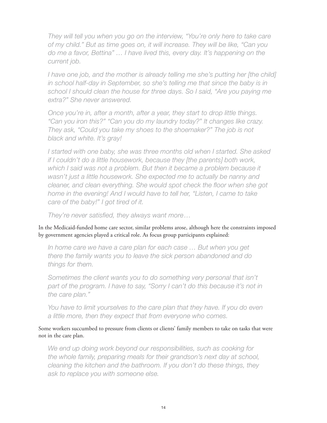*They will tell you when you go on the interview, "You're only here to take care of my child." But as time goes on, it will increase. They will be like, "Can you do me a favor, Bettina" … I have lived this, every day. It's happening on the current job.*

*I have one job, and the mother is already telling me she's putting her [the child] in school half-day in September, so she's telling me that since the baby is in school I should clean the house for three days. So I said, "Are you paying me extra?" She never answered.*

*Once you're in, after a month, after a year, they start to drop little things. "Can you iron this?" "Can you do my laundry today?" It changes like crazy. They ask, "Could you take my shoes to the shoemaker?" The job is not black and white. It's gray!*

*I started with one baby, she was three months old when I started. She asked if I couldn't do a little housework, because they [the parents] both work, which I said was not a problem. But then it became a problem because it wasn't just a little housework. She expected me to actually be nanny and cleaner, and clean everything. She would spot check the floor when she got home in the evening! And I would have to tell her, "Listen, I came to take care of the baby!" I got tired of it.*

*They're never satisfied, they always want more…*

In the Medicaid-funded home care sector, similar problems arose, although here the constraints imposed by government agencies played a critical role. As focus group participants explained:

In home care we have a care plan for each case ... But when you get *there the family wants you to leave the sick person abandoned and do things for them.* 

*Sometimes the client wants you to do something very personal that isn't*  part of the program. I have to say, "Sorry I can't do this because it's not in *the care plan."*

*You have to limit yourselves to the care plan that they have. If you do even a little more, then they expect that from everyone who comes.* 

Some workers succumbed to pressure from clients or clients' family members to take on tasks that were not in the care plan.

*We end up doing work beyond our responsibilities, such as cooking for the whole family, preparing meals for their grandson's next day at school, cleaning the kitchen and the bathroom. If you don't do these things, they ask to replace you with someone else.*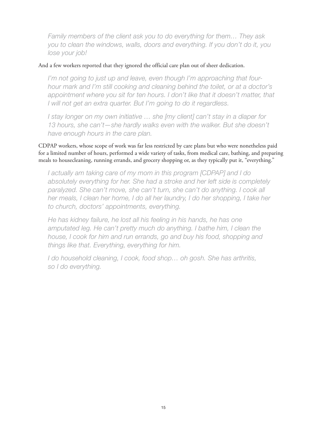*Family members of the client ask you to do everything for them… They ask you to clean the windows, walls, doors and everything. If you don't do it, you lose your job!*

#### And a few workers reported that they ignored the official care plan out of sheer dedication.

*I'm not going to just up and leave, even though I'm approaching that fourhour mark and I'm still cooking and cleaning behind the toilet, or at a doctor's appointment where you sit for ten hours. I don't like that it doesn't matter, that I will not get an extra quarter. But I'm going to do it regardless.*

*I stay longer on my own initiative … she [my client] can't stay in a diaper for 13 hours, she can't—she hardly walks even with the walker. But she doesn't have enough hours in the care plan.*

CDPAP workers, whose scope of work was far less restricted by care plans but who were nonetheless paid for a limited number of hours, performed a wide variety of tasks, from medical care, bathing, and preparing meals to housecleaning, running errands, and grocery shopping or, as they typically put it, "everything."

*I actually am taking care of my mom in this program [CDPAP] and I do absolutely everything for her. She had a stroke and her left side is completely*  paralyzed. She can't move, she can't turn, she can't do anything. I cook all *her meals, I clean her home, I do all her laundry, I do her shopping, I take her to church, doctors' appointments, everything.* 

*He has kidney failure, he lost all his feeling in his hands, he has one amputated leg. He can't pretty much do anything. I bathe him, I clean the house, I cook for him and run errands, go and buy his food, shopping and things like that. Everything, everything for him.*

*I do household cleaning, I cook, food shop… oh gosh. She has arthritis, so I do everything.*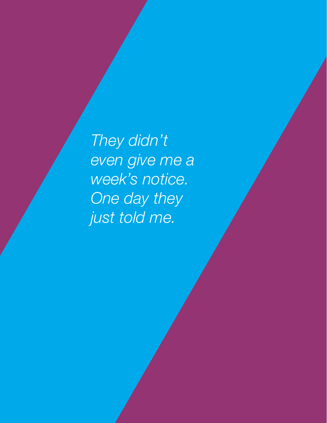*They didn't even give me a week's notice. One day they just told me.*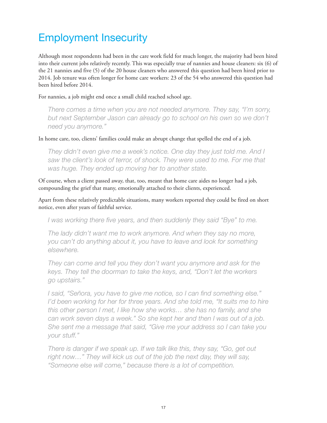## Employment Insecurity

Although most respondents had been in the care work field for much longer, the majority had been hired into their current jobs relatively recently. This was especially true of nannies and house cleaners: six (6) of the 21 nannies and five (5) of the 20 house cleaners who answered this question had been hired prior to 2014. Job tenure was often longer for home care workers: 23 of the 54 who answered this question had been hired before 2014.

For nannies, a job might end once a small child reached school age.

*There comes a time when you are not needed anymore. They say, "I'm sorry, but next September Jason can already go to school on his own so we don't need you anymore."* 

In home care, too, clients' families could make an abrupt change that spelled the end of a job.

*They didn't even give me a week's notice. One day they just told me. And I saw the client's look of terror, of shock. They were used to me. For me that was huge. They ended up moving her to another state.*

Of course, when a client passed away, that, too, meant that home care aides no longer had a job, compounding the grief that many, emotionally attached to their clients, experienced.

Apart from these relatively predictable situations, many workers reported they could be fired on short notice, even after years of faithful service.

*I was working there five years, and then suddenly they said "Bye" to me.*

*The lady didn't want me to work anymore. And when they say no more, you can't do anything about it, you have to leave and look for something elsewhere.* 

*They can come and tell you they don't want you anymore and ask for the keys. They tell the doorman to take the keys, and, "Don't let the workers go upstairs."*

*I said, "Señora, you have to give me notice, so I can find something else." I'd been working for her for three years. And she told me, "It suits me to hire this other person I met, I like how she works… she has no family, and she can work seven days a week." So she kept her and then I was out of a job. She sent me a message that said, "Give me your address so I can take you your stuff."*

*There is danger if we speak up. If we talk like this, they say, "Go, get out right now…" They will kick us out of the job the next day, they will say, "Someone else will come," because there is a lot of competition.*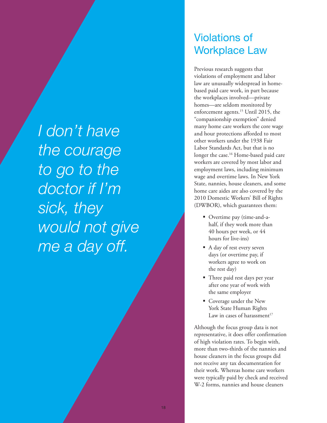*I don't have the courage to go to the doctor if I'm sick, they would not give me a day off.*

#### Violations of Workplace Law

Previous research suggests that violations of employment and labor law are unusually widespread in homebased paid care work, in part because the workplaces involved—private homes—are seldom monitored by enforcement agents.<sup>15</sup> Until 2015, the "companionship exemption" denied many home care workers the core wage and hour protections afforded to most other workers under the 1938 Fair Labor Standards Act, but that is no longer the case.<sup>16</sup> Home-based paid care workers are covered by most labor and employment laws, including minimum wage and overtime laws. In New York State, nannies, house cleaners, and some home care aides are also covered by the 2010 Domestic Workers' Bill of Rights (DWBOR), which guarantees them:

- Overtime pay (time-and-ahalf, if they work more than 40 hours per week, or 44 hours for live-ins)
- A day of rest every seven days (or overtime pay, if workers agree to work on the rest day)
- Three paid rest days per year after one year of work with the same employer
- Coverage under the New York State Human Rights Law in cases of harassment $17$

Although the focus group data is not representative, it does offer confirmation of high violation rates. To begin with, more than two-thirds of the nannies and house cleaners in the focus groups did not receive any tax documentation for their work. Whereas home care workers were typically paid by check and received W-2 forms, nannies and house cleaners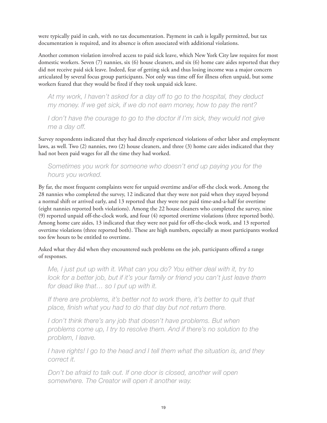were typically paid in cash, with no tax documentation. Payment in cash is legally permitted, but tax documentation is required, and its absence is often associated with additional violations.

Another common violation involved access to paid sick leave, which New York City law requires for most domestic workers. Seven (7) nannies, six (6) house cleaners, and six (6) home care aides reported that they did not receive paid sick leave. Indeed, fear of getting sick and thus losing income was a major concern articulated by several focus group participants. Not only was time off for illness often unpaid, but some workers feared that they would be fired if they took unpaid sick leave.

*At my work, I haven't asked for a day off to go to the hospital, they deduct my money. If we get sick, if we do not earn money, how to pay the rent?* 

*I don't have the courage to go to the doctor if I'm sick, they would not give me a day off.* 

Survey respondents indicated that they had directly experienced violations of other labor and employment laws, as well. Two (2) nannies, two (2) house cleaners, and three (3) home care aides indicated that they had not been paid wages for all the time they had worked.

#### *Sometimes you work for someone who doesn't end up paying you for the hours you worked.*

By far, the most frequent complaints were for unpaid overtime and/or off-the clock work. Among the 28 nannies who completed the survey, 12 indicated that they were not paid when they stayed beyond a normal shift or arrived early, and 13 reported that they were not paid time-and-a-half for overtime (eight nannies reported both violations). Among the 22 house cleaners who completed the survey, nine (9) reported unpaid off-the-clock work, and four (4) reported overtime violations (three reported both). Among home care aides, 13 indicated that they were not paid for off-the-clock work, and 13 reported overtime violations (three reported both). These are high numbers, especially as most participants worked too few hours to be entitled to overtime.

Asked what they did when they encountered such problems on the job, participants offered a range of responses.

*Me, I just put up with it. What can you do? You either deal with it, try to look for a better job, but if it's your family or friend you can't just leave them for dead like that… so I put up with it.*

*If there are problems, it's better not to work there, it's better to quit that place, finish what you had to do that day but not return there.*

*I don't think there's any job that doesn't have problems. But when problems come up, I try to resolve them. And if there's no solution to the problem, I leave.*

*I have rights! I go to the head and I tell them what the situation is, and they correct it.*

*Don't be afraid to talk out. If one door is closed, another will open somewhere. The Creator will open it another way.*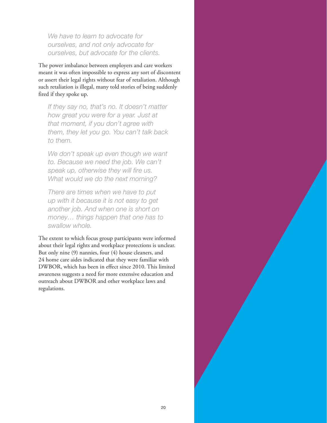*We have to learn to advocate for ourselves, and not only advocate for ourselves, but advocate for the clients.* 

The power imbalance between employers and care workers meant it was often impossible to express any sort of discontent or assert their legal rights without fear of retaliation. Although such retaliation is illegal, many told stories of being suddenly fired if they spoke up.

*If they say no, that's no. It doesn't matter how great you were for a year. Just at that moment, if you don't agree with them, they let you go. You can't talk back to them.*

*We don't speak up even though we want to. Because we need the job. We can't speak up, otherwise they will fire us. What would we do the next morning?*

*There are times when we have to put up with it because it is not easy to get another job. And when one is short on money… things happen that one has to swallow whole.*

The extent to which focus group participants were informed about their legal rights and workplace protections is unclear. But only nine (9) nannies, four (4) house cleaners, and 24 home care aides indicated that they were familiar with DWBOR, which has been in effect since 2010. This limited awareness suggests a need for more extensive education and outreach about DWBOR and other workplace laws and regulations.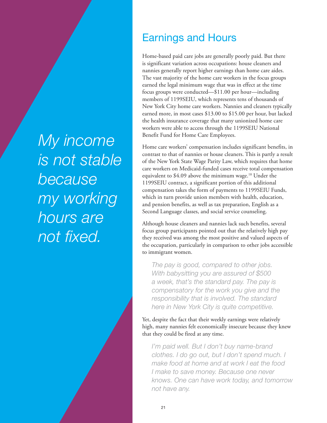## *My income is not stable because my working hours are not fixed.*

## Earnings and Hours

Home-based paid care jobs are generally poorly paid. But there is significant variation across occupations: house cleaners and nannies generally report higher earnings than home care aides. The vast majority of the home care workers in the focus groups earned the legal minimum wage that was in effect at the time focus groups were conducted—\$11.00 per hour—including members of 1199SEIU, which represents tens of thousands of New York City home care workers. Nannies and cleaners typically earned more, in most cases \$13.00 to \$15.00 per hour, but lacked the health insurance coverage that many unionized home care workers were able to access through the 1199SEIU National Benefit Fund for Home Care Employees.

Home care workers' compensation includes significant benefits, in contrast to that of nannies or house cleaners. This is partly a result of the New York State Wage Parity Law, which requires that home care workers on Medicaid-funded cases receive total compensation equivalent to \$4.09 above the minimum wage.<sup>18</sup> Under the 1199SEIU contract, a significant portion of this additional compensation takes the form of payments to 1199SEIU Funds, which in turn provide union members with health, education, and pension benefits, as well as tax preparation, English as a Second Language classes, and social service counseling.

Although house cleaners and nannies lack such benefits, several focus group participants pointed out that the relatively high pay they received was among the most positive and valued aspects of the occupation, particularly in comparison to other jobs accessible to immigrant women.

*The pay is good, compared to other jobs. With babysitting you are assured of \$500 a week, that's the standard pay. The pay is compensatory for the work you give and the responsibility that is involved. The standard here in New York City is quite competitive.*

Yet, despite the fact that their weekly earnings were relatively high, many nannies felt economically insecure because they knew that they could be fired at any time.

*I'm paid well. But I don't buy name-brand clothes. I do go out, but I don't spend much. I make food at home and at work I eat the food I make to save money. Because one never knows. One can have work today, and tomorrow not have any.*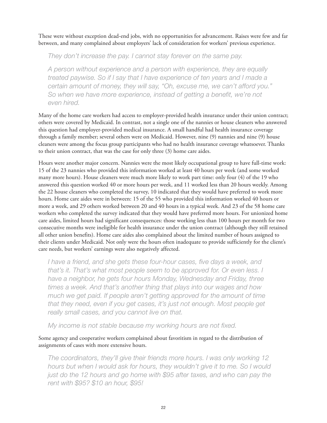These were without exception dead-end jobs, with no opportunities for advancement. Raises were few and far between, and many complained about employers' lack of consideration for workers' previous experience.

*They don't increase the pay. I cannot stay forever on the same pay.*

*A person without experience and a person with experience, they are equally treated paywise. So if I say that I have experience of ten years and I made a certain amount of money, they will say, "Oh, excuse me, we can't afford you."*  So when we have more experience, instead of getting a benefit, we're not *even hired.*

Many of the home care workers had access to employer-provided health insurance under their union contract; others were covered by Medicaid. In contrast, not a single one of the nannies or house cleaners who answered this question had employer-provided medical insurance. A small handful had health insurance coverage through a family member; several others were on Medicaid. However, nine (9) nannies and nine (9) house cleaners were among the focus group participants who had no health insurance coverage whatsoever. Thanks to their union contract, that was the case for only three (3) home care aides.

Hours were another major concern. Nannies were the most likely occupational group to have full-time work: 15 of the 23 nannies who provided this information worked at least 40 hours per week (and some worked many more hours). House cleaners were much more likely to work part time: only four (4) of the 19 who answered this question worked 40 or more hours per week, and 11 worked less than 20 hours weekly. Among the 22 house cleaners who completed the survey, 10 indicated that they would have preferred to work more hours. Home care aides were in between: 15 of the 55 who provided this information worked 40 hours or more a week, and 29 others worked between 20 and 40 hours in a typical week. And 23 of the 58 home care workers who completed the survey indicated that they would have preferred more hours. For unionized home care aides, limited hours had significant consequences: those working less than 100 hours per month for two consecutive months were ineligible for health insurance under the union contract (although they still retained all other union benefits). Home care aides also complained about the limited number of hours assigned to their clients under Medicaid. Not only were the hours often inadequate to provide sufficiently for the client's care needs, but workers' earnings were also negatively affected.

*I have a friend, and she gets these four-hour cases, five days a week, and that's it. That's what most people seem to be approved for. Or even less. I have a neighbor, he gets four hours Monday, Wednesday and Friday, three times a week. And that's another thing that plays into our wages and how much we get paid. If people aren't getting approved for the amount of time that they need, even if you get cases, it's just not enough. Most people get really small cases, and you cannot live on that.*

*My income is not stable because my working hours are not fixed.*

#### Some agency and cooperative workers complained about favoritism in regard to the distribution of assignments of cases with more extensive hours.

*The coordinators, they'll give their friends more hours. I was only working 12 hours but when I would ask for hours, they wouldn't give it to me. So I would*  just do the 12 hours and go home with \$95 after taxes, and who can pay the *rent with \$95? \$10 an hour, \$95!*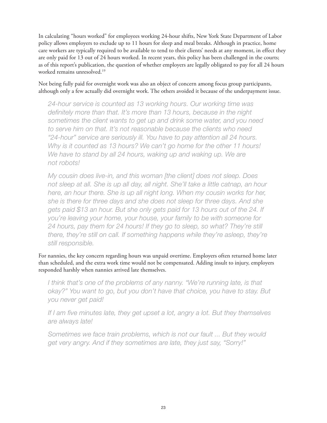In calculating "hours worked" for employees working 24-hour shifts, New York State Department of Labor policy allows employers to exclude up to 11 hours for sleep and meal breaks. Although in practice, home care workers are typically required to be available to tend to their clients' needs at any moment, in effect they are only paid for 13 out of 24 hours worked. In recent years, this policy has been challenged in the courts; as of this report's publication, the question of whether employers are legally obligated to pay for all 24 hours worked remains unresolved.19

Not being fully paid for overnight work was also an object of concern among focus group participants, although only a few actually did overnight work. The others avoided it because of the underpayment issue.

*24-hour service is counted as 13 working hours. Our working time was definitely more than that. It's more than 13 hours, because in the night sometimes the client wants to get up and drink some water, and you need to serve him on that. It's not reasonable because the clients who need "24-hour" service are seriously ill. You have to pay attention all 24 hours. Why is it counted as 13 hours? We can't go home for the other 11 hours!*  We have to stand by all 24 hours, waking up and waking up. We are *not robots!*

*My cousin does live-in, and this woman [the client] does not sleep. Does not sleep at all. She is up all day, all night. She'll take a little catnap, an hour here, an hour there. She is up all night long. When my cousin works for her, she is there for three days and she does not sleep for three days. And she*  gets paid \$13 an hour. But she only gets paid for 13 hours out of the 24. If *you're leaving your home, your house, your family to be with someone for 24 hours, pay them for 24 hours! If they go to sleep, so what? They're still there, they're still on call. If something happens while they're asleep, they're still responsible.*

For nannies, the key concern regarding hours was unpaid overtime. Employers often returned home later than scheduled, and the extra work time would not be compensated. Adding insult to injury, employers responded harshly when nannies arrived late themselves.

*I think that's one of the problems of any nanny. "We're running late, is that okay?" You want to go, but you don't have that choice, you have to stay. But you never get paid!*

*If I am five minutes late, they get upset a lot, angry a lot. But they themselves are always late!*

*Sometimes we face train problems, which is not our fault ... But they would get very angry. And if they sometimes are late, they just say, "Sorry!"*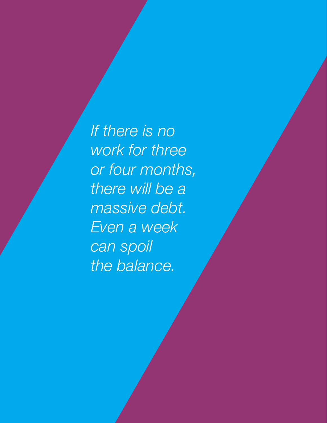*If there is no work for three or four months, there will be a massive debt. Even a week can spoil the balance.*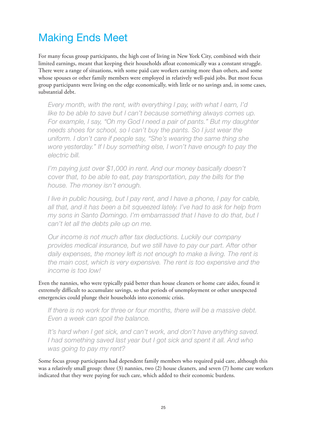## Making Ends Meet

For many focus group participants, the high cost of living in New York City, combined with their limited earnings, meant that keeping their households afloat economically was a constant struggle. There were a range of situations, with some paid care workers earning more than others, and some whose spouses or other family members were employed in relatively well-paid jobs. But most focus group participants were living on the edge economically, with little or no savings and, in some cases, substantial debt.

*Every month, with the rent, with everything I pay, with what I earn, I'd like to be able to save but I can't because something always comes up. For example, I say, "Oh my God I need a pair of pants." But my daughter needs shoes for school, so I can't buy the pants. So I just wear the uniform. I don't care if people say, "She's wearing the same thing she wore yesterday." If I buy something else, I won't have enough to pay the electric bill.* 

*I'm paying just over \$1,000 in rent. And our money basically doesn't cover that, to be able to eat, pay transportation, pay the bills for the house. The money isn't enough.*

*I live in public housing, but I pay rent, and I have a phone, I pay for cable, all that, and it has been a bit squeezed lately. I've had to ask for help from my sons in Santo Domingo. I'm embarrassed that I have to do that, but I can't let all the debts pile up on me.*

*Our income is not much after tax deductions. Luckily our company provides medical insurance, but we still have to pay our part. After other daily expenses, the money left is not enough to make a living. The rent is the main cost, which is very expensive. The rent is too expensive and the income is too low!*

Even the nannies, who were typically paid better than house cleaners or home care aides, found it extremely difficult to accumulate savings, so that periods of unemployment or other unexpected emergencies could plunge their households into economic crisis.

*If there is no work for three or four months, there will be a massive debt. Even a week can spoil the balance.* 

*It's hard when I get sick, and can't work, and don't have anything saved. I had something saved last year but I got sick and spent it all. And who was going to pay my rent?* 

Some focus group participants had dependent family members who required paid care, although this was a relatively small group: three (3) nannies, two (2) house cleaners, and seven (7) home care workers indicated that they were paying for such care, which added to their economic burdens.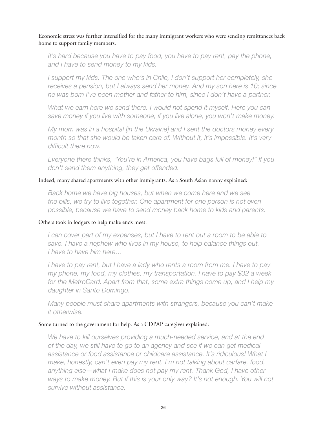Economic stress was further intensified for the many immigrant workers who were sending remittances back home to support family members.

It's hard because you have to pay food, you have to pay rent, pay the phone, *and I have to send money to my kids.*

*I* support my kids. The one who's in Chile, I don't support her completely, she *receives a pension, but I always send her money. And my son here is 10; since he was born I've been mother and father to him, since I don't have a partner.*

What we earn here we send there. I would not spend it myself. Here you can *save money if you live with someone; if you live alone, you won't make money.*

*My mom was in a hospital [in the Ukraine] and I sent the doctors money every month so that she would be taken care of. Without it, it's impossible. It's very difficult there now.*

*Everyone there thinks, "You're in America, you have bags full of money!" If you don't send them anything, they get offended.*

Indeed, many shared apartments with other immigrants. As a South Asian nanny explained:

*Back home we have big houses, but when we come here and we see the bills, we try to live together. One apartment for one person is not even possible, because we have to send money back home to kids and parents.* 

#### Others took in lodgers to help make ends meet.

*I can cover part of my expenses, but I have to rent out a room to be able to save. I have a nephew who lives in my house, to help balance things out. I have to have him here…*

*I have to pay rent, but I have a lady who rents a room from me. I have to pay my phone, my food, my clothes, my transportation. I have to pay \$32 a week for the MetroCard. Apart from that, some extra things come up, and I help my daughter in Santo Domingo.*

*Many people must share apartments with strangers, because you can't make it otherwise.*

#### Some turned to the government for help. As a CDPAP caregiver explained:

We have to kill ourselves providing a much-needed service, and at the end *of the day, we still have to go to an agency and see if we can get medical assistance or food assistance or childcare assistance. It's ridiculous! What I make, honestly, can't even pay my rent. I'm not talking about carfare, food, anything else—what I make does not pay my rent. Thank God, I have other*  ways to make money. But if this is your only way? It's not enough. You will not *survive without assistance.*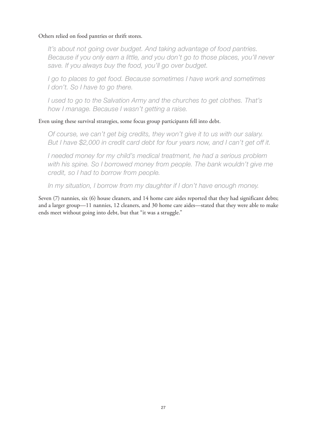#### Others relied on food pantries or thrift stores.

*It's about not going over budget. And taking advantage of food pantries. Because if you only earn a little, and you don't go to those places, you'll never save. If you always buy the food, you'll go over budget.* 

*I* go to places to get food. Because sometimes *I* have work and sometimes *I don't. So I have to go there.* 

*I used to go to the Salvation Army and the churches to get clothes. That's how I manage. Because I wasn't getting a raise.*

#### Even using these survival strategies, some focus group participants fell into debt.

*Of course, we can't get big credits, they won't give it to us with our salary. But I have \$2,000 in credit card debt for four years now, and I can't get off it.*

*I needed money for my child's medical treatment, he had a serious problem with his spine. So I borrowed money from people. The bank wouldn't give me credit, so I had to borrow from people.*

*In my situation, I borrow from my daughter if I don't have enough money.*

Seven (7) nannies, six (6) house cleaners, and 14 home care aides reported that they had significant debts; and a larger group—11 nannies, 12 cleaners, and 30 home care aides—stated that they were able to make ends meet without going into debt, but that "it was a struggle."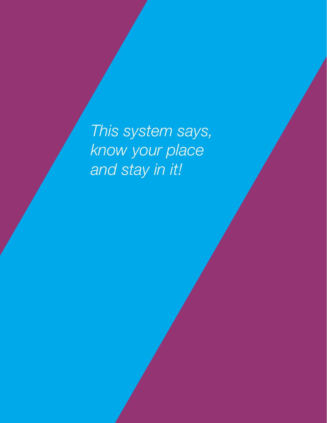*This system says, know your place and stay in it!*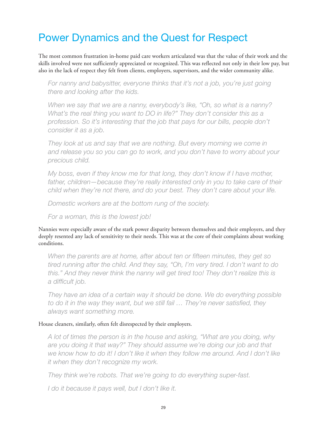## Power Dynamics and the Quest for Respect

The most common frustration in-home paid care workers articulated was that the value of their work and the skills involved were not sufficiently appreciated or recognized. This was reflected not only in their low pay, but also in the lack of respect they felt from clients, employers, supervisors, and the wider community alike.

*For nanny and babysitter, everyone thinks that it's not a job, you're just going there and looking after the kids.* 

*When we say that we are a nanny, everybody's like, "Oh, so what is a nanny? What's the real thing you want to DO in life?" They don't consider this as a profession. So it's interesting that the job that pays for our bills, people don't consider it as a job.*

*They look at us and say that we are nothing. But every morning we come in and release you so you can go to work, and you don't have to worry about your precious child.*

*My boss, even if they know me for that long, they don't know if I have mother, father, children—because they're really interested only in you to take care of their child when they're not there, and do your best. They don't care about your life.*

*Domestic workers are at the bottom rung of the society.*

*For a woman, this is the lowest job!*

Nannies were especially aware of the stark power disparity between themselves and their employers, and they deeply resented any lack of sensitivity to their needs. This was at the core of their complaints about working conditions.

When the parents are at home, after about ten or fifteen minutes, they get so *tired running after the child. And they say, "Oh, I'm very tired. I don't want to do*  this." And they never think the nanny will get tired too! They don't realize this is *a difficult job.*

*They have an idea of a certain way it should be done. We do everything possible to do it in the way they want, but we still fail … They're never satisfied, they always want something more.*

#### House cleaners, similarly, often felt disrespected by their employers.

*A lot of times the person is in the house and asking, "What are you doing, why are you doing it that way?" They should assume we're doing our job and that*  we know how to do it! I don't like it when they follow me around. And I don't like *it when they don't recognize my work.* 

*They think we're robots. That we're going to do everything super-fast.* 

*I do it because it pays well, but I don't like it.*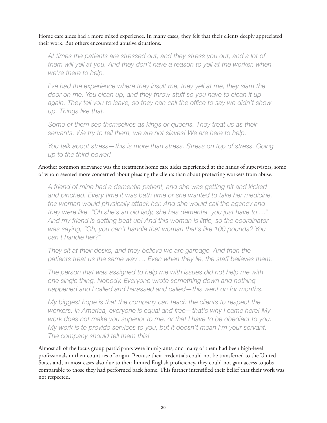Home care aides had a more mixed experience. In many cases, they felt that their clients deeply appreciated their work. But others encountered abusive situations.

*At times the patients are stressed out, and they stress you out, and a lot of them will yell at you. And they don't have a reason to yell at the worker, when we're there to help.*

*I've had the experience where they insult me, they yell at me, they slam the door on me. You clean up, and they throw stuff so you have to clean it up again. They tell you to leave, so they can call the office to say we didn't show up. Things like that.*

*Some of them see themselves as kings or queens. They treat us as their servants. We try to tell them, we are not slaves! We are here to help.*

*You talk about stress—this is more than stress. Stress on top of stress. Going up to the third power!*

Another common grievance was the treatment home care aides experienced at the hands of supervisors, some of whom seemed more concerned about pleasing the clients than about protecting workers from abuse.

*A friend of mine had a dementia patient, and she was getting hit and kicked and pinched. Every time it was bath time or she wanted to take her medicine, the woman would physically attack her. And she would call the agency and they were like, "Oh she's an old lady, she has dementia, you just have to …" And my friend is getting beat up! And this woman is little, so the coordinator was saying, "Oh, you can't handle that woman that's like 100 pounds? You can't handle her?"*

*They sit at their desks, and they believe we are garbage. And then the patients treat us the same way … Even when they lie, the staff believes them.* 

*The person that was assigned to help me with issues did not help me with one single thing. Nobody. Everyone wrote something down and nothing happened and I called and harassed and called—this went on for months.*

*My biggest hope is that the company can teach the clients to respect the workers. In America, everyone is equal and free—that's why I came here! My work does not make you superior to me, or that I have to be obedient to you. My work is to provide services to you, but it doesn't mean I'm your servant. The company should tell them this!* 

Almost all of the focus group participants were immigrants, and many of them had been high-level professionals in their countries of origin. Because their credentials could not be transferred to the United States and, in most cases also due to their limited English proficiency, they could not gain access to jobs comparable to those they had performed back home. This further intensified their belief that their work was not respected.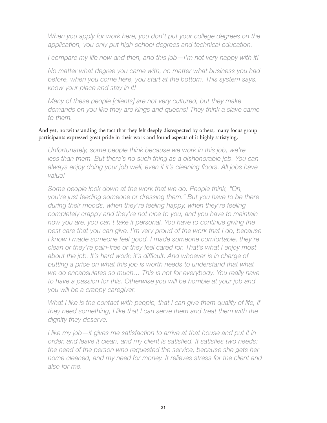When you apply for work here, you don't put your college degrees on the *application, you only put high school degrees and technical education.*

*I compare my life now and then, and this job—I'm not very happy with it!*

*No matter what degree you came with, no matter what business you had before, when you come here, you start at the bottom. This system says, know your place and stay in it!*

*Many of these people [clients] are not very cultured, but they make demands on you like they are kings and queens! They think a slave came to them.*

And yet, notwithstanding the fact that they felt deeply disrespected by others, many focus group participants expressed great pride in their work and found aspects of it highly satisfying.

*Unfortunately, some people think because we work in this job, we're*  less than them. But there's no such thing as a dishonorable job. You can *always enjoy doing your job well, even if it's cleaning floors. All jobs have value!*

*Some people look down at the work that we do. People think, "Oh, you're just feeding someone or dressing them." But you have to be there during their moods, when they're feeling happy, when they're feeling completely crappy and they're not nice to you, and you have to maintain how you are, you can't take it personal. You have to continue giving the best care that you can give. I'm very proud of the work that I do, because I know I made someone feel good. I made someone comfortable, they're clean or they're pain-free or they feel cared for. That's what I enjoy most about the job. It's hard work; it's difficult. And whoever is in charge of putting a price on what this job is worth needs to understand that what we do encapsulates so much… This is not for everybody. You really have to have a passion for this. Otherwise you will be horrible at your job and you will be a crappy caregiver.*

*What I like is the contact with people, that I can give them quality of life, if they need something, I like that I can serve them and treat them with the dignity they deserve.*

*I like my job—it gives me satisfaction to arrive at that house and put it in order, and leave it clean, and my client is satisfied. It satisfies two needs: the need of the person who requested the service, because she gets her home cleaned, and my need for money. It relieves stress for the client and also for me.*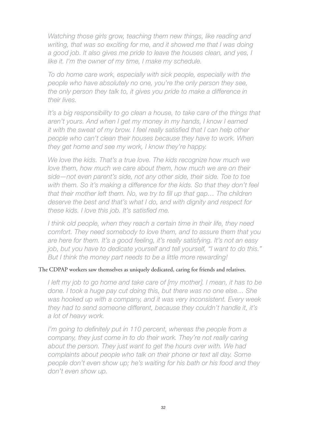*Watching those girls grow, teaching them new things, like reading and writing, that was so exciting for me, and it showed me that I was doing a good job. It also gives me pride to leave the houses clean, and yes, I like it. I'm the owner of my time, I make my schedule.*

*To do home care work, especially with sick people, especially with the people who have absolutely no one, you're the only person they see, the only person they talk to, it gives you pride to make a difference in their lives.*

*It's a big responsibility to go clean a house, to take care of the things that aren't yours. And when I get my money in my hands, I know I earned it with the sweat of my brow. I feel really satisfied that I can help other people who can't clean their houses because they have to work. When they get home and see my work, I know they're happy.*

*We love the kids. That's a true love. The kids recognize how much we love them, how much we care about them, how much we are on their side—not even parent's side, not any other side, their side. Toe to toe*  with them. So it's making a difference for the kids. So that they don't feel *that their mother left them. No, we try to fill up that gap… The children deserve the best and that's what I do, and with dignity and respect for these kids. I love this job. It's satisfied me.*

*I think old people, when they reach a certain time in their life, they need comfort. They need somebody to love them, and to assure them that you are here for them. It's a good feeling, it's really satisfying. It's not an easy job, but you have to dedicate yourself and tell yourself, "I want to do this." But I think the money part needs to be a little more rewarding!*

#### The CDPAP workers saw themselves as uniquely dedicated, caring for friends and relatives.

*I left my job to go home and take care of [my mother]. I mean, it has to be done. I took a huge pay cut doing this, but there was no one else… She was hooked up with a company, and it was very inconsistent. Every week they had to send someone different, because they couldn't handle it, it's a lot of heavy work.*

*I'm going to definitely put in 110 percent, whereas the people from a company, they just come in to do their work. They're not really caring about the person. They just want to get the hours over with. We had complaints about people who talk on their phone or text all day. Some people don't even show up; he's waiting for his bath or his food and they don't even show up.*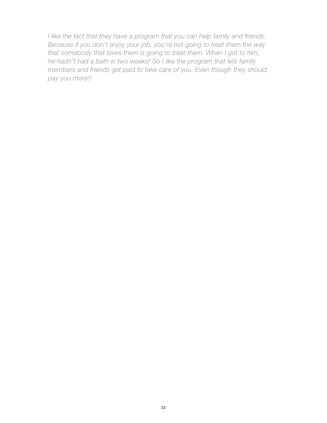*I like the fact that they have a program that you can help family and friends. Because if you don't enjoy your job, you're not going to treat them the way that somebody that loves them is going to treat them. When I got to him, he hadn't had a bath in two weeks! So I like the program that lets family members and friends get paid to take care of you. Even though they should pay you more!!*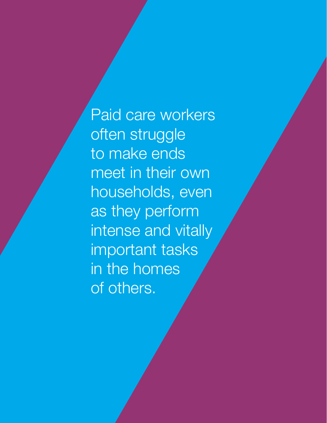Paid care workers often struggle to make ends meet in their own households, even as they perform intense and vitally important tasks in the homes of others.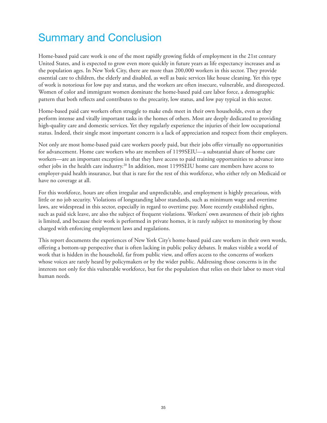## Summary and Conclusion

Home-based paid care work is one of the most rapidly growing fields of employment in the 21st century United States, and is expected to grow even more quickly in future years as life expectancy increases and as the population ages. In New York City, there are more than 200,000 workers in this sector. They provide essential care to children, the elderly and disabled, as well as basic services like house cleaning. Yet this type of work is notorious for low pay and status, and the workers are often insecure, vulnerable, and disrespected. Women of color and immigrant women dominate the home-based paid care labor force, a demographic pattern that both reflects and contributes to the precarity, low status, and low pay typical in this sector.

Home-based paid care workers often struggle to make ends meet in their own households, even as they perform intense and vitally important tasks in the homes of others. Most are deeply dedicated to providing high-quality care and domestic services. Yet they regularly experience the injuries of their low occupational status. Indeed, their single most important concern is a lack of appreciation and respect from their employers.

Not only are most home-based paid care workers poorly paid, but their jobs offer virtually no opportunities for advancement. Home care workers who are members of 1199SEIU—a substantial share of home care workers—are an important exception in that they have access to paid training opportunities to advance into other jobs in the health care industry.20 In addition, most 1199SEIU home care members have access to employer-paid health insurance, but that is rare for the rest of this workforce, who either rely on Medicaid or have no coverage at all.

For this workforce, hours are often irregular and unpredictable, and employment is highly precarious, with little or no job security. Violations of longstanding labor standards, such as minimum wage and overtime laws, are widespread in this sector, especially in regard to overtime pay. More recently established rights, such as paid sick leave, are also the subject of frequent violations. Workers' own awareness of their job rights is limited, and because their work is performed in private homes, it is rarely subject to monitoring by those charged with enforcing employment laws and regulations.

This report documents the experiences of New York City's home-based paid care workers in their own words, offering a bottom-up perspective that is often lacking in public policy debates. It makes visible a world of work that is hidden in the household, far from public view, and offers access to the concerns of workers whose voices are rarely heard by policymakers or by the wider public. Addressing those concerns is in the interests not only for this vulnerable workforce, but for the population that relies on their labor to meet vital human needs.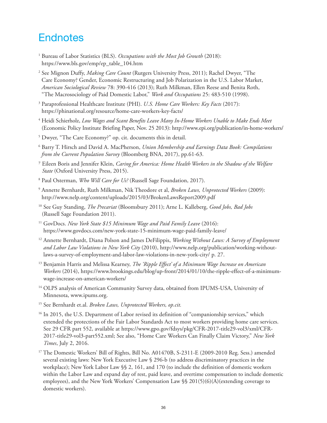#### **Endnotes**

- <sup>1</sup> Bureau of Labor Statistics (BLS). *Occupations with the Most Job Growth* (2018): https://www.bls.gov/emp/ep\_table\_104.htm
- <sup>2</sup> See Mignon Duffy, *Making Care Count* (Rutgers University Press, 2011); Rachel Dwyer, "The Care Economy? Gender, Economic Restructuring and Job Polarization in the U.S. Labor Market, *American Sociological Review* 78: 390-416 (2013); Ruth Milkman, Ellen Reese and Benita Roth, "The Macrosociology of Paid Domestic Labor," *Work and Occupations* 25: 483-510 (1998).
- <sup>3</sup> Paraprofessional Healthcare Institute (PHI). *U.S. Home Care Workers: Key Facts* (2017): https://phinational.org/resource/home-care-workers-key-facts/
- <sup>4</sup> Heidi Schierholz, *Low Wages and Scant Benefits Leave Many In-Home Workers Unable to Make Ends Meet* (Economic Policy Institute Briefing Paper, Nov. 25 2013): http://www.epi.org/publication/in-home-workers/
- <sup>5</sup> Dwyer, "The Care Economy?" op. cit. documents this in detail.
- <sup>6</sup> Barry T. Hirsch and David A. MacPherson, *Union Membership and Earnings Data Book: Compilations from the Current Population Survey* (Bloomberg BNA, 2017), pp.61-63.
- 7 Eileen Boris and Jennifer Klein, *Caring for America: Home Health Workers in the Shadow of the Welfare State* (Oxford University Press, 2015).
- <sup>8</sup> Paul Osterman, *Who Will Care for Us?* (Russell Sage Foundation, 2017).
- <sup>9</sup> Annette Bernhardt, Ruth Milkman, Nik Theodore et al, *Broken Laws, Unprotected Workers* (2009): http://www.nelp.org/content/uploads/2015/03/BrokenLawsReport2009.pdf
- 10 See Guy Standing, *The Precariat* (Bloomsbury 2011); Arne L. Kalleberg, *Good Jobs, Bad Jobs* (Russell Sage Foundation 2011).
- <sup>11</sup> GovDocs. *New York State \$15 Minimum Wage and Paid Family Leave* (2016): https://www.govdocs.com/new-york-state-15-minimum-wage-paid-family-leave/
- <sup>12</sup> Annette Bernhardt, Diana Polson and James DeFilippis, *Working Without Laws: A Survey of Employment and Labor Law Violations in New York City* (2010), http://www.nelp.org/publication/working-withoutlaws-a-survey-of-employment-and-labor-law-violations-in-new-york-city/ p. 27.
- <sup>13</sup> Benjamin Harris and Melissa Kearney, *The 'Ripple Effect' of a Minimum Wage Increase on American Workers* (2014), https://www.brookings.edu/blog/up-front/2014/01/10/the-ripple-effect-of-a-minimumwage-increase-on-american-workers/
- <sup>14</sup> OLPS analysis of American Community Survey data, obtained from IPUMS-USA, University of Minnesota, www.ipums.org.
- <sup>15</sup> See Bernhardt et.al. *Broken Laws, Unprotected Workers, op.cit.*
- <sup>16</sup> In 2015, the U.S. Department of Labor revised its definition of "companionship services," which extended the protections of the Fair Labor Standards Act to most workers providing home care services. See 29 CFR part 552, available at https://www.gpo.gov/fdsys/pkg/CFR-2017-title29-vol3/xml/CFR-2017-title29-vol3-part552.xml; See also, "Home Care Workers Can Finally Claim Victory," *New York Times*, July 2, 2016.
- <sup>17</sup> The Domestic Workers' Bill of Rights, Bill No. A01470B, S-2311-E (2009-2010 Reg. Sess.) amended several existing laws: New York Executive Law § 296-b (to address discriminatory practices in the workplace); New York Labor Law §§ 2, 161, and 170 (to include the definition of domestic workers within the Labor Law and expand day of rest, paid leave, and overtime compensation to include domestic employees), and the New York Workers' Compensation Law §§ 201(5)(6)(A)(extending coverage to domestic workers).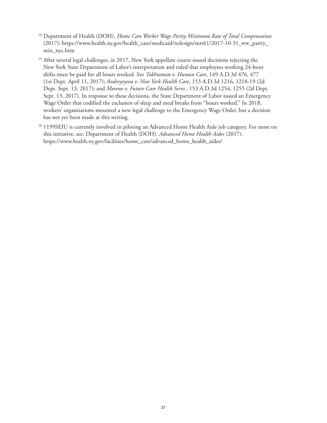- <sup>18</sup> Department of Health (DOH). *Home Care Worker Wage Parity Minimum Rate of Total Compensation* (2017): https://www.health.ny.gov/health\_care/medicaid/redesign/mrt61/2017-10-31\_ww\_parity\_ min\_nyc.htm
- <sup>19</sup> After several legal challenges, in 2017, New York appellate courts issued decisions rejecting the New York State Department of Labor's interpretation and ruled that employees working 24-hour shifts must be paid for all hours worked. See *Tokhtaman v. Human Care*, 149 A.D.3d 476, 477 (1st Dept. April 11, 2017); *Andreyeyeva v. New York Health Care*, 153 A.D.3d 1216, 1218-19 (2d Dept. Sept. 13, 2017); and *Moreno v. Future Care Health Servs.*, 153 A.D.3d 1254, 1255 (2d Dept. Sept. 13, 2017). In response to these decisions, the State Department of Labor issued an Emergency Wage Order that codified the exclusion of sleep and meal breaks from "hours worked." In 2018, workers' organizations mounted a new legal challenge to the Emergency Wage Order, but a decision has not yet been made at this writing.
- <sup>20</sup> 1199SEIU is currently involved in piloting an Advanced Home Health Aide job category. For more on this initiative, see: Department of Health (DOH). *Advanced Home Health Aides* (2017): https://www.health.ny.gov/facilities/home\_care/advanced\_home\_health\_aides/